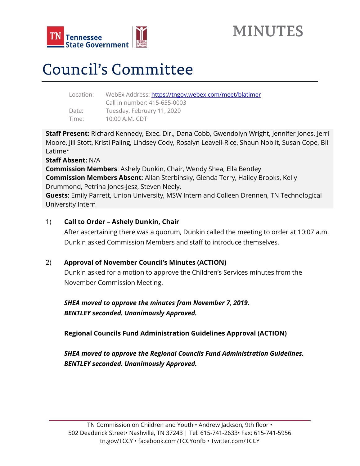

## **MINUTES**

# Council's Committee

| WebEx Address: https://tngov.webex.com/meet/blatimer |
|------------------------------------------------------|
| Call in number: 415-655-0003                         |
| Tuesday, February 11, 2020                           |
| 10:00 A.M. CDT                                       |
|                                                      |

**Staff Present:** Richard Kennedy, Exec. Dir., Dana Cobb, Gwendolyn Wright, Jennifer Jones, Jerri Moore, Jill Stott, Kristi Paling, Lindsey Cody, Rosalyn Leavell-Rice, Shaun Noblit, Susan Cope, Bill Latimer

**Staff Absent:** N/A

**Commission Members**: Ashely Dunkin, Chair, Wendy Shea, Ella Bentley **Commission Members Absent**: Allan Sterbinsky, Glenda Terry, Hailey Brooks, Kelly Drummond, Petrina Jones-Jesz, Steven Neely,

**Guests**: Emily Parrett, Union University, MSW Intern and Colleen Drennen, TN Technological University Intern

#### 1) **Call to Order – Ashely Dunkin, Chair**

After ascertaining there was a quorum, Dunkin called the meeting to order at 10:07 a.m. Dunkin asked Commission Members and staff to introduce themselves.

#### 2) **Approval of November Council's Minutes (ACTION)**

Dunkin asked for a motion to approve the Children's Services minutes from the November Commission Meeting.

*SHEA moved to approve the minutes from November 7, 2019. BENTLEY seconded. Unanimously Approved.*

**Regional Councils Fund Administration Guidelines Approval (ACTION)**

*SHEA moved to approve the Regional Councils Fund Administration Guidelines. BENTLEY seconded. Unanimously Approved.*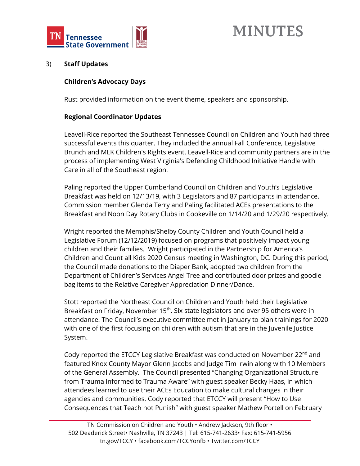

## **MINUTES**

#### 3) **Staff Updates**

#### **Children's Advocacy Days**

Rust provided information on the event theme, speakers and sponsorship.

#### **Regional Coordinator Updates**

Leavell-Rice reported the Southeast Tennessee Council on Children and Youth had three successful events this quarter. They included the annual Fall Conference, Legislative Brunch and MLK Children's Rights event. Leavell-Rice and community partners are in the process of implementing West Virginia's Defending Childhood Initiative Handle with Care in all of the Southeast region.

Paling reported the Upper Cumberland Council on Children and Youth's Legislative Breakfast was held on 12/13/19, with 3 Legislators and 87 participants in attendance. Commission member Glenda Terry and Paling facilitated ACEs presentations to the Breakfast and Noon Day Rotary Clubs in Cookeville on 1/14/20 and 1/29/20 respectively.

Wright reported the Memphis/Shelby County Children and Youth Council held a Legislative Forum (12/12/2019) focused on programs that positively impact young children and their families. Wright participated in the Partnership for America's Children and Count all Kids 2020 Census meeting in Washington, DC. During this period, the Council made donations to the Diaper Bank, adopted two children from the Department of Children's Services Angel Tree and contributed door prizes and goodie bag items to the Relative Caregiver Appreciation Dinner/Dance.

Stott reported the Northeast Council on Children and Youth held their Legislative Breakfast on Friday, November 15<sup>th</sup>. Six state legislators and over 95 others were in attendance. The Council's executive committee met in January to plan trainings for 2020 with one of the first focusing on children with autism that are in the Juvenile Justice System.

Cody reported the ETCCY Legislative Breakfast was conducted on November 22<sup>nd</sup> and featured Knox County Mayor Glenn Jacobs and Judge Tim Irwin along with 10 Members of the General Assembly. The Council presented "Changing Organizational Structure from Trauma Informed to Trauma Aware" with guest speaker Becky Haas, in which attendees learned to use their ACEs Education to make cultural changes in their agencies and communities. Cody reported that ETCCY will present "How to Use Consequences that Teach not Punish" with guest speaker Mathew Portell on February